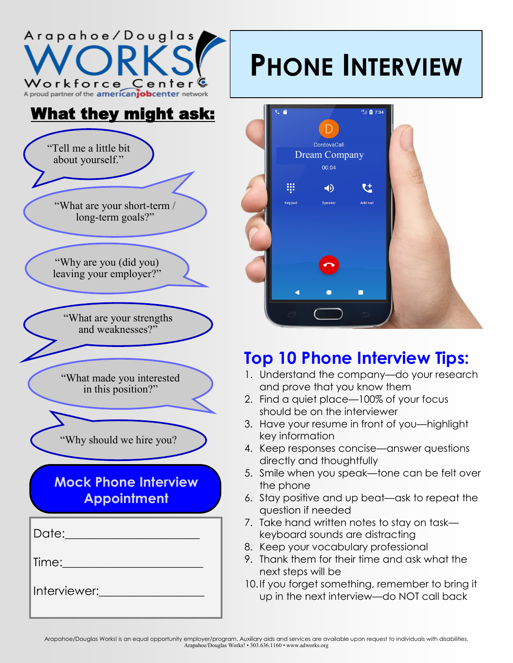

## What they might ask:



## **PHONE INTERVIEW**



## **Top 10 Phone Interview Tips:**

- 1. Understand the company—do your research and prove that you know them
- 2. Find a quiet place—100% of your focus should be on the interviewer
- 3. Have your resume in front of you—highlight key information
- 4. Keep responses concise—answer questions directly and thoughtfully
- 5. Smile when you speak—tone can be felt over the phone
- 6. Stay positive and up beat—ask to repeat the question if needed
- 7. Take hand written notes to stay on task keyboard sounds are distracting
- 8. Keep your vocabulary professional
- 9. Thank them for their time and ask what the next steps will be
- 10.If you forget something, remember to bring it up in the next interview—do NOT call back